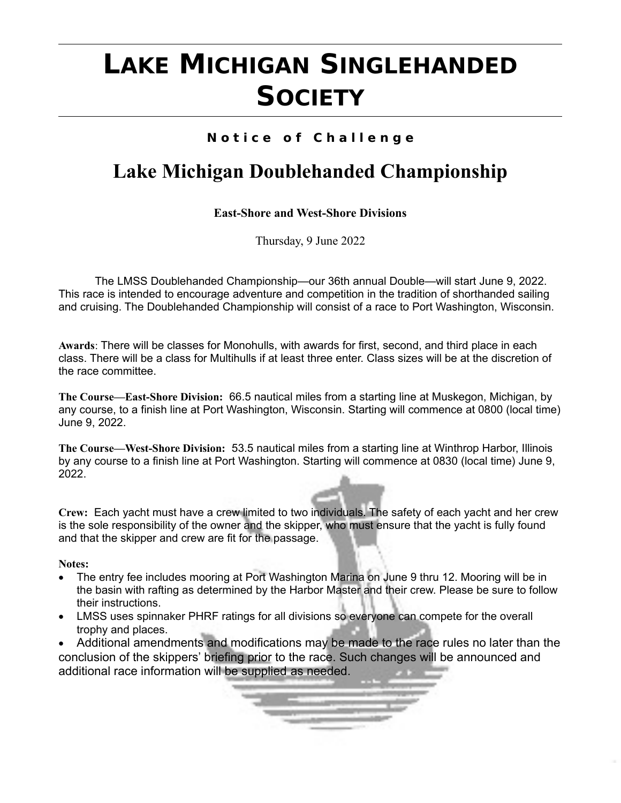# **LAKE MICHIGAN SINGLEHANDED SOCIETY**

### **N o t i c e o f C h a l l e n g e**

### **Lake Michigan Doublehanded Championship**

**East-Shore and West-Shore Divisions**

Thursday, 9 June 2022

The LMSS Doublehanded Championship—our 36th annual Double—will start June 9, 2022. This race is intended to encourage adventure and competition in the tradition of shorthanded sailing and cruising. The Doublehanded Championship will consist of a race to Port Washington, Wisconsin.

**Awards**: There will be classes for Monohulls, with awards for first, second, and third place in each class. There will be a class for Multihulls if at least three enter. Class sizes will be at the discretion of the race committee.

**The Course—East-Shore Division:** 66.5 nautical miles from a starting line at Muskegon, Michigan, by any course, to a finish line at Port Washington, Wisconsin. Starting will commence at 0800 (local time) June 9, 2022.

**The Course—West-Shore Division:** 53.5 nautical miles from a starting line at Winthrop Harbor, Illinois by any course to a finish line at Port Washington. Starting will commence at 0830 (local time) June 9, 2022.

**Crew:** Each yacht must have a crew limited to two individuals. The safety of each yacht and her crew is the sole responsibility of the owner and the skipper, who must ensure that the yacht is fully found and that the skipper and crew are fit for the passage.

#### **Notes:**

- The entry fee includes mooring at Port Washington Marina on June 9 thru 12. Mooring will be in the basin with rafting as determined by the Harbor Master and their crew. Please be sure to follow their instructions.
- LMSS uses spinnaker PHRF ratings for all divisions so everyone can compete for the overall trophy and places.

• Additional amendments and modifications may be made to the race rules no later than the conclusion of the skippers' briefing prior to the race. Such changes will be announced and additional race information will be supplied as needed.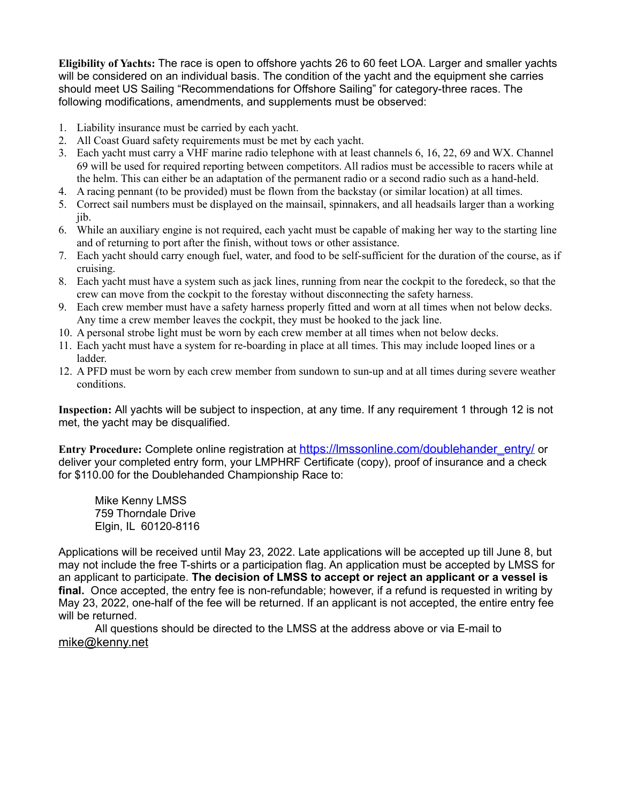**Eligibility of Yachts:** The race is open to offshore yachts 26 to 60 feet LOA. Larger and smaller yachts will be considered on an individual basis. The condition of the yacht and the equipment she carries should meet US Sailing "Recommendations for Offshore Sailing" for category-three races. The following modifications, amendments, and supplements must be observed:

- 1. Liability insurance must be carried by each yacht.
- 2. All Coast Guard safety requirements must be met by each yacht.
- 3. Each yacht must carry a VHF marine radio telephone with at least channels 6, 16, 22, 69 and WX. Channel 69 will be used for required reporting between competitors. All radios must be accessible to racers while at the helm. This can either be an adaptation of the permanent radio or a second radio such as a hand-held.
- 4. A racing pennant (to be provided) must be flown from the backstay (or similar location) at all times.
- 5. Correct sail numbers must be displayed on the mainsail, spinnakers, and all headsails larger than a working jib.
- 6. While an auxiliary engine is not required, each yacht must be capable of making her way to the starting line and of returning to port after the finish, without tows or other assistance.
- 7. Each yacht should carry enough fuel, water, and food to be self-sufficient for the duration of the course, as if cruising.
- 8. Each yacht must have a system such as jack lines, running from near the cockpit to the foredeck, so that the crew can move from the cockpit to the forestay without disconnecting the safety harness.
- 9. Each crew member must have a safety harness properly fitted and worn at all times when not below decks. Any time a crew member leaves the cockpit, they must be hooked to the jack line.
- 10. A personal strobe light must be worn by each crew member at all times when not below decks.
- 11. Each yacht must have a system for re-boarding in place at all times. This may include looped lines or a ladder.
- 12. A PFD must be worn by each crew member from sundown to sun-up and at all times during severe weather conditions.

**Inspection:** All yachts will be subject to inspection, at any time. If any requirement 1 through 12 is not met, the yacht may be disqualified.

**Entry Procedure:** Complete online registration at [https://lmssonline.com/doublehander\\_entry/](https://lmssonline.com/doublehander_entry/) or deliver your completed entry form, your LMPHRF Certificate (copy), proof of insurance and a check for \$110.00 for the Doublehanded Championship Race to:

Mike Kenny LMSS 759 Thorndale Drive Elgin, IL 60120-8116

Applications will be received until May 23, 2022. Late applications will be accepted up till June 8, but may not include the free T-shirts or a participation flag. An application must be accepted by LMSS for an applicant to participate. **The decision of LMSS to accept or reject an applicant or a vessel is**  final. Once accepted, the entry fee is non-refundable; however, if a refund is requested in writing by May 23, 2022, one-half of the fee will be returned. If an applicant is not accepted, the entire entry fee will be returned.

All questions should be directed to the LMSS at the address above or via E-mail to [mike@kenny.net](mailto:a.bednarek@sbcglobal.net)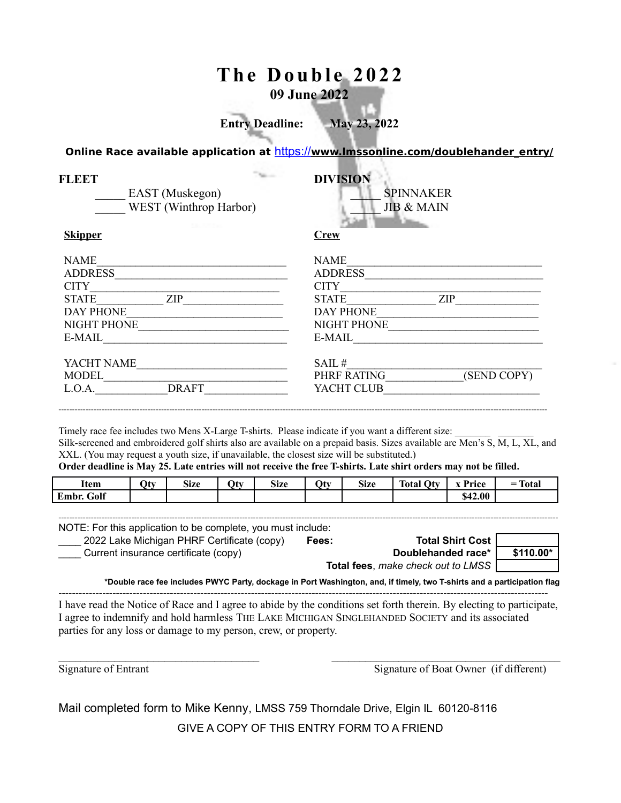### **T h e D o u b l e 2 0 2 2 09 June 2022**

**Entry Deadline: May 23, 2022**

**Online Race available application at** [https://](https://www.lmssonline.com/doublehander_entry/) **[www.lmssonline.com/doublehander\\_entry/](https://www.lmssonline.com/doublehander_entry/)**

| The Contract of<br>FLEET       | <b>DIVISION</b>            |
|--------------------------------|----------------------------|
| EAST (Muskegon)                | <b>SPINNAKER</b>           |
| WEST (Winthrop Harbor)         | <b>JIB &amp; MAIN</b>      |
| The Contract<br><b>Skipper</b> | <b>Crew</b>                |
| <b>NAME</b>                    | <b>NAME</b>                |
| <b>ADDRESS</b>                 | <b>ADDRESS</b>             |
| <b>CITY</b>                    | <b>CITY</b>                |
| ZIP<br><b>STATE</b>            | <b>ZIP</b><br><b>STATE</b> |
| <b>DAY PHONE</b>               | <b>DAY PHONE</b>           |
| NIGHT PHONE                    | NIGHT PHONE                |
| E-MAIL                         | E-MAIL                     |
| YACHT NAME                     | SAIL#                      |
| MODEL                          | (SEND COPY)<br>PHRF RATING |
| <b>DRAFT</b><br>L.O.A.         | YACHT CLUB                 |
|                                |                            |

Timely race fee includes two Mens X-Large T-shirts. Please indicate if you want a different size: Silk-screened and embroidered golf shirts also are available on a prepaid basis. Sizes available are Men's S, M, L, XL, and XXL. (You may request a youth size, if unavailable, the closest size will be substituted.)

**Order deadline is May 25. Late entries will not receive the free T-shirts. Late shirt orders may not be filled.**

| Item              | Oty | <b>Size</b> | $Q$ ty | <b>Size</b> | Oty | <b>Size</b> | <b>Total Oty</b> | x Price | <del>-</del> Total |
|-------------------|-----|-------------|--------|-------------|-----|-------------|------------------|---------|--------------------|
| <b>Embr.</b> Golf |     |             |        |             |     |             |                  | \$42.00 |                    |

-----------------------------------------------------------------------------------------------------------------------------------------------------------------------------------------

NOTE: For this application to be complete, you must include:

\_\_\_\_ 2022 Lake Michigan PHRF Certificate (copy) **Fees: Total Shirt Cost** \_\_\_\_ Current insurance certificate (copy) **Doublehanded race\* \$110.00\***

**Total fees**, *make check out to LMSS*

**\*Double race fee includes PWYC Party, dockage in Port Washington, and, if timely, two T-shirts and a participation flag**

------------------------------------------------------------------------------------------------------------------------------------------------- I have read the Notice of Race and I agree to abide by the conditions set forth therein. By electing to participate, I agree to indemnify and hold harmless THE LAKE MICHIGAN SINGLEHANDED SOCIETY and its associated parties for any loss or damage to my person, crew, or property.

 $\mathcal{L}_\mathcal{L} = \{ \mathcal{L}_\mathcal{L} = \{ \mathcal{L}_\mathcal{L} = \{ \mathcal{L}_\mathcal{L} = \{ \mathcal{L}_\mathcal{L} = \{ \mathcal{L}_\mathcal{L} = \{ \mathcal{L}_\mathcal{L} = \{ \mathcal{L}_\mathcal{L} = \{ \mathcal{L}_\mathcal{L} = \{ \mathcal{L}_\mathcal{L} = \{ \mathcal{L}_\mathcal{L} = \{ \mathcal{L}_\mathcal{L} = \{ \mathcal{L}_\mathcal{L} = \{ \mathcal{L}_\mathcal{L} = \{ \mathcal{L}_\mathcal{$ 

Signature of Entrant Signature of Boat Owner (if different)

Mail completed form to Mike Kenny, LMSS 759 Thorndale Drive, Elgin IL 60120-8116 GIVE A COPY OF THIS ENTRY FORM TO A FRIEND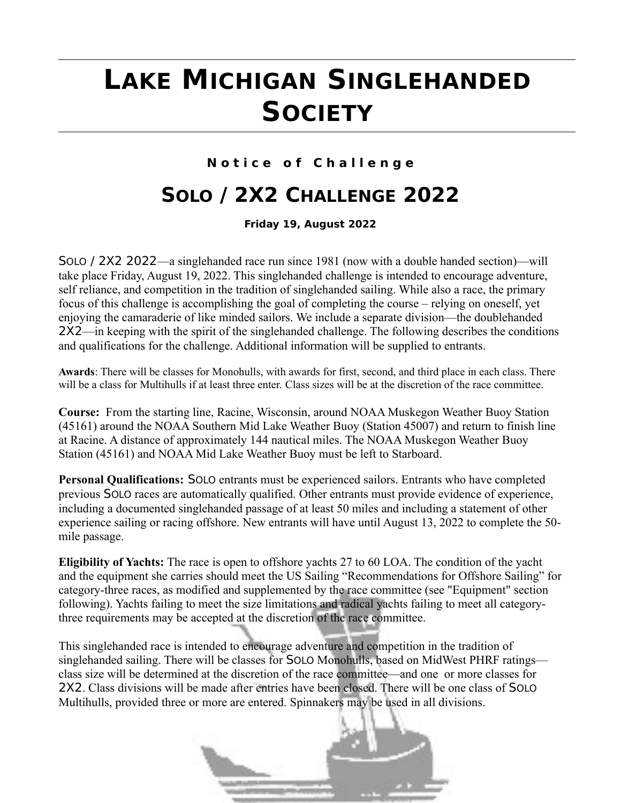## **LAKE MICHIGAN SINGLEHANDED SOCIETY**

### **N o t i c e o f C h a l l e n g e**

### **SOLO / 2X2 CHALLENGE 2022**

**Friday 19, August 2022**

SOLO / 2X2 2022—a singlehanded race run since 1981 (now with a double handed section)—will take place Friday, August 19, 2022. This singlehanded challenge is intended to encourage adventure, self reliance, and competition in the tradition of singlehanded sailing. While also a race, the primary focus of this challenge is accomplishing the goal of completing the course – relying on oneself, yet enjoying the camaraderie of like minded sailors. We include a separate division—the doublehanded 2X2—in keeping with the spirit of the singlehanded challenge. The following describes the conditions and qualifications for the challenge. Additional information will be supplied to entrants.

**Awards**: There will be classes for Monohulls, with awards for first, second, and third place in each class. There will be a class for Multihulls if at least three enter. Class sizes will be at the discretion of the race committee.

**Course:** From the starting line, Racine, Wisconsin, around NOAA Muskegon Weather Buoy Station (45161) around the NOAA Southern Mid Lake Weather Buoy (Station 45007) and return to finish line at Racine. A distance of approximately 144 nautical miles. The NOAA Muskegon Weather Buoy Station (45161) and NOAA Mid Lake Weather Buoy must be left to Starboard.

**Personal Qualifications:** SOLO entrants must be experienced sailors. Entrants who have completed previous SOLO races are automatically qualified. Other entrants must provide evidence of experience, including a documented singlehanded passage of at least 50 miles and including a statement of other experience sailing or racing offshore. New entrants will have until August 13, 2022 to complete the 50 mile passage.

**Eligibility of Yachts:** The race is open to offshore yachts 27 to 60 LOA. The condition of the yacht and the equipment she carries should meet the US Sailing "Recommendations for Offshore Sailing" for category-three races, as modified and supplemented by the race committee (see "Equipment" section following). Yachts failing to meet the size limitations and radical yachts failing to meet all categorythree requirements may be accepted at the discretion of the race committee.

This singlehanded race is intended to encourage adventure and competition in the tradition of singlehanded sailing. There will be classes for SOLO Monohulls, based on MidWest PHRF ratings class size will be determined at the discretion of the race committee—and one or more classes for 2X2. Class divisions will be made after entries have been closed. There will be one class of SOLO Multihulls, provided three or more are entered. Spinnakers may be used in all divisions.

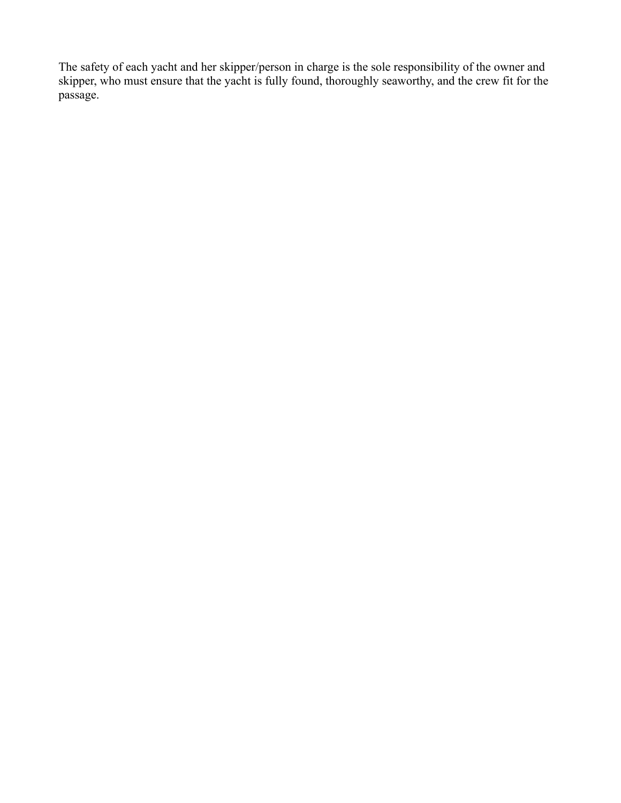The safety of each yacht and her skipper/person in charge is the sole responsibility of the owner and skipper, who must ensure that the yacht is fully found, thoroughly seaworthy, and the crew fit for the passage.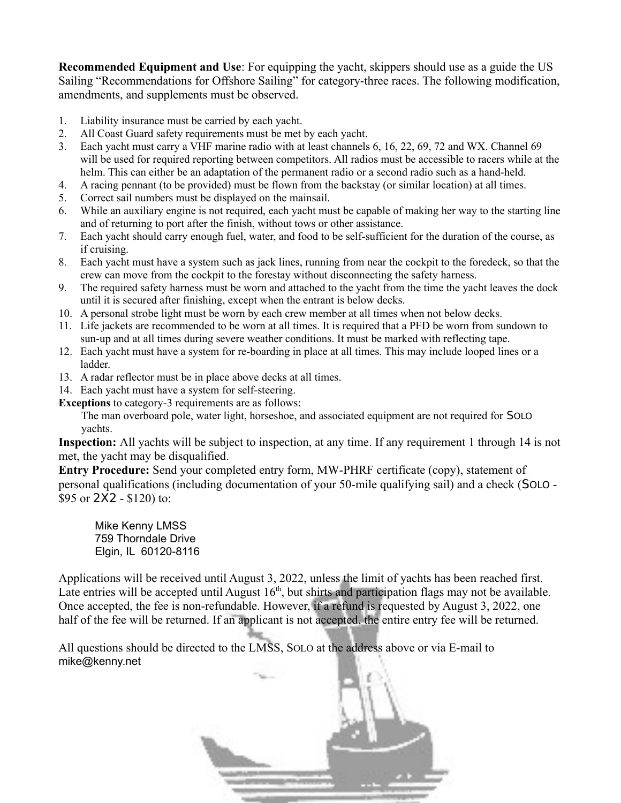**Recommended Equipment and Use**: For equipping the yacht, skippers should use as a guide the US Sailing "Recommendations for Offshore Sailing" for category-three races. The following modification, amendments, and supplements must be observed.

- 1. Liability insurance must be carried by each yacht.
- 2. All Coast Guard safety requirements must be met by each yacht.
- 3. Each yacht must carry a VHF marine radio with at least channels 6, 16, 22, 69, 72 and WX. Channel 69 will be used for required reporting between competitors. All radios must be accessible to racers while at the helm. This can either be an adaptation of the permanent radio or a second radio such as a hand-held.
- 4. A racing pennant (to be provided) must be flown from the backstay (or similar location) at all times.
- 5. Correct sail numbers must be displayed on the mainsail.
- 6. While an auxiliary engine is not required, each yacht must be capable of making her way to the starting line and of returning to port after the finish, without tows or other assistance.
- 7. Each yacht should carry enough fuel, water, and food to be self-sufficient for the duration of the course, as if cruising.
- 8. Each yacht must have a system such as jack lines, running from near the cockpit to the foredeck, so that the crew can move from the cockpit to the forestay without disconnecting the safety harness.
- 9. The required safety harness must be worn and attached to the yacht from the time the yacht leaves the dock until it is secured after finishing, except when the entrant is below decks.
- 10. A personal strobe light must be worn by each crew member at all times when not below decks.
- 11. Life jackets are recommended to be worn at all times. It is required that a PFD be worn from sundown to sun-up and at all times during severe weather conditions. It must be marked with reflecting tape.
- 12. Each yacht must have a system for re-boarding in place at all times. This may include looped lines or a ladder.
- 13. A radar reflector must be in place above decks at all times.
- 14. Each yacht must have a system for self-steering.
- **Exceptions** to category-3 requirements are as follows:

The man overboard pole, water light, horseshoe, and associated equipment are not required for SOLO yachts.

**Inspection:** All yachts will be subject to inspection, at any time. If any requirement 1 through 14 is not met, the yacht may be disqualified.

**Entry Procedure:** Send your completed entry form, MW-PHRF certificate (copy), statement of personal qualifications (including documentation of your 50-mile qualifying sail) and a check (SOLO - \$95 or 2X2 - \$120) to:

Mike Kenny LMSS 759 Thorndale Drive Elgin, IL 60120-8116

Applications will be received until August 3, 2022, unless the limit of yachts has been reached first. Late entries will be accepted until August  $16<sup>th</sup>$ , but shirts and participation flags may not be available. Once accepted, the fee is non-refundable. However, if a refund is requested by August 3, 2022, one half of the fee will be returned. If an applicant is not accepted, the entire entry fee will be returned.

All questions should be directed to the LMSS, SOLO at the address above or via E-mail to mike@kenny.net

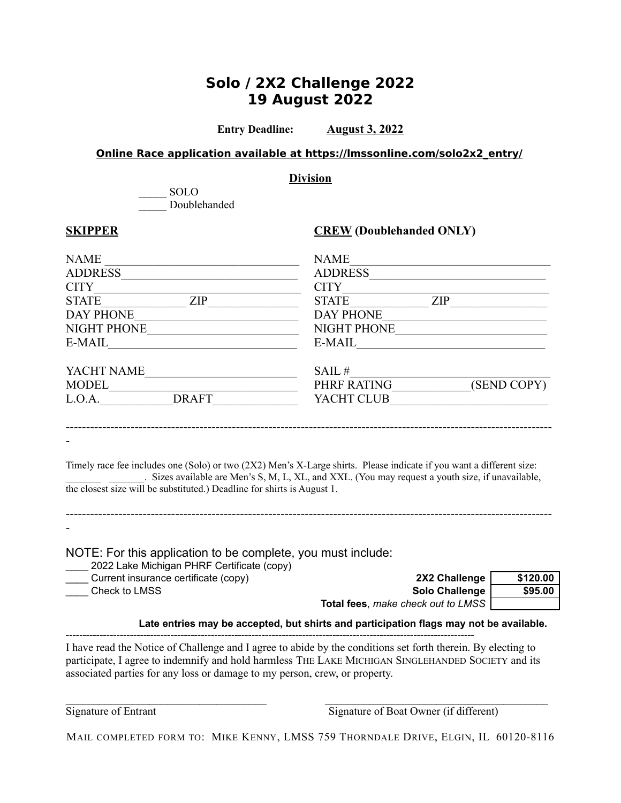### **Solo / 2X2 Challenge 2022 19 August 2022**

**Entry Deadline: August 3, 2022 Online Race application available at https://Imssonline.com/solo2x2\_entry/ Division** \_\_\_\_\_ SOLO Doublehanded **SKIPPER CREW (Doublehanded ONLY)**  $NAME \_\_\_\_\_\_$ ADDRESS\_\_\_\_\_\_\_\_\_\_\_\_\_\_\_\_\_\_\_\_\_\_\_\_\_\_\_\_\_ ADDRESS\_\_\_\_\_\_\_\_\_\_\_\_\_\_\_\_\_\_\_\_\_\_\_\_\_\_\_\_\_ CITY\_\_\_\_\_\_\_\_\_\_\_\_\_\_\_\_\_\_\_\_\_\_\_\_\_\_\_\_\_\_\_\_\_\_ CITY\_\_\_\_\_\_\_\_\_\_\_\_\_\_\_\_\_\_\_\_\_\_\_\_\_\_\_\_\_\_\_\_\_\_ STATE ZIP STATE ZIP DAY PHONE\_\_\_\_\_\_\_\_\_\_\_\_\_\_\_\_\_\_\_\_\_\_\_\_\_\_\_ DAY PHONE\_\_\_\_\_\_\_\_\_\_\_\_\_\_\_\_\_\_\_\_\_\_\_\_\_\_\_ NIGHT PHONE\_\_\_\_\_\_\_\_\_\_\_\_\_\_\_\_\_\_\_\_\_\_\_\_\_ NIGHT PHONE\_\_\_\_\_\_\_\_\_\_\_\_\_\_\_\_\_\_\_\_\_\_\_\_\_  $E\text{-}{\text{MAIL}}$   $\qquad$   $\qquad$   $\qquad$   $\qquad$   $\qquad$   $\qquad$   $\qquad$   $\qquad$   $\qquad$   $\qquad$   $\qquad$   $\qquad$   $\qquad$   $\qquad$   $\qquad$   $\qquad$   $\qquad$   $\qquad$   $\qquad$   $\qquad$   $\qquad$   $\qquad$   $\qquad$   $\qquad$   $\qquad$   $\qquad$   $\qquad$   $\qquad$   $\qquad$   $\qquad$   $\qquad$   $\qquad$   $\qquad$   $\qquad$   $\q$  $\begin{array}{ccc}\n\text{YACHT NAME}\n\end{array}\n\qquad\n\begin{array}{c}\n\text{SAIL}\# \\
\text{PHRF RATING}\n\end{array}\n\qquad\n\begin{array}{c}\n\text{SAIL}\n\end{array}\n\qquad\n\begin{array}{c}\n\text{SAIL}\n\end{array}\n\qquad\n\begin{array}{c}\n\text{SAIL}\n\end{array}\n\qquad\n\begin{array}{c}\n\text{SAIL}\n\end{array}\n\qquad\n\begin{array}{c}\n\text{SRND COPY}\n\end{array}\n\qquad\n\begin{array}{c}\n\text{SRID COPY}\n\end{array}\n\qquad\n\begin{array$ MODEL\_\_\_\_\_\_\_\_\_\_\_\_\_\_\_\_\_\_\_\_\_\_\_\_\_\_\_\_\_\_\_ PHRF RATING\_\_\_\_\_\_\_\_\_\_\_\_\_(SEND COPY) YACHT CLUB ------------------------------------------------------------------------------------------------------------------------ Timely race fee includes one (Solo) or two (2X2) Men's X-Large shirts. Please indicate if you want a different size: \_\_\_\_\_\_\_ \_\_\_\_\_\_\_. Sizes available are Men's S, M, L, XL, and XXL. (You may request a youth size, if unavailable, the closest size will be substituted.) Deadline for shirts is August 1.  $-$ NOTE: For this application to be complete, you must include: \_\_\_\_ 2022 Lake Michigan PHRF Certificate (copy) \_\_\_\_ Current insurance certificate (copy) **2X2 Challenge \$120.00** \_\_\_\_ Check to LMSS **Solo Challenge \$95.00 Total fees**, *make check out to LMSS* **Late entries may be accepted, but shirts and participation flags may not be available.** ------------------------------------------------------------------------------------------------------------------------- I have read the Notice of Challenge and I agree to abide by the conditions set forth therein. By electing to participate, I agree to indemnify and hold harmless THE LAKE MICHIGAN SINGLEHANDED SOCIETY and its associated parties for any loss or damage to my person, crew, or property.

-

-

Signature of Boat Owner (if different)

MAIL COMPLETED FORM TO: MIKE KENNY, LMSS 759 THORNDALE DRIVE, ELGIN, IL 60120-8116

\_\_\_\_\_\_\_\_\_\_\_\_\_\_\_\_\_\_\_\_\_\_\_\_\_\_\_\_\_\_\_\_\_\_\_\_ \_\_\_\_\_\_\_\_\_\_\_\_\_\_\_\_\_\_\_\_\_\_\_\_\_\_\_\_\_\_\_\_\_\_\_\_\_\_\_\_